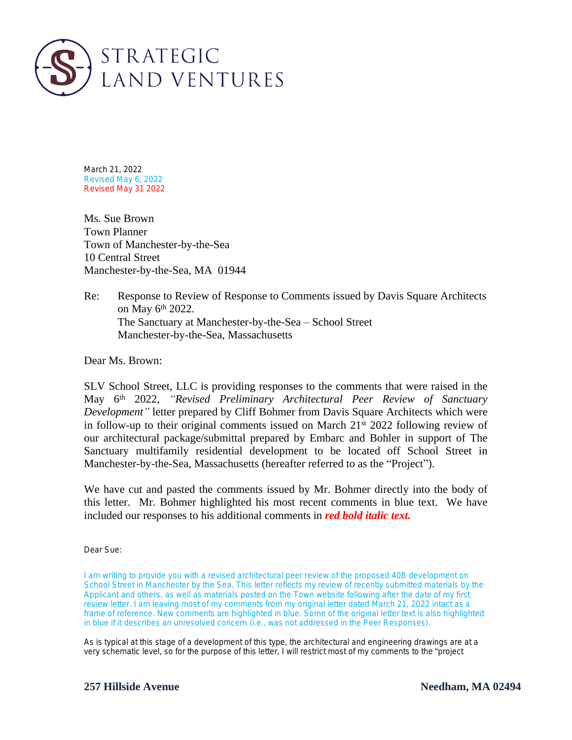

March 21, 2022 Revised May 6, 2022 Revised May 31 2022

Ms. Sue Brown Town Planner Town of Manchester-by-the-Sea 10 Central Street Manchester-by-the-Sea, MA 01944

Re: Response to Review of Response to Comments issued by Davis Square Architects on May 6th 2022. The Sanctuary at Manchester-by-the-Sea – School Street Manchester-by-the-Sea, Massachusetts

Dear Ms. Brown:

SLV School Street, LLC is providing responses to the comments that were raised in the May 6 th 2022, *"Revised Preliminary Architectural Peer Review of Sanctuary Development"* letter prepared by Cliff Bohmer from Davis Square Architects which were in follow-up to their original comments issued on March  $21^{st}$  2022 following review of our architectural package/submittal prepared by Embarc and Bohler in support of The Sanctuary multifamily residential development to be located off School Street in Manchester-by-the-Sea, Massachusetts (hereafter referred to as the "Project").

We have cut and pasted the comments issued by Mr. Bohmer directly into the body of this letter. Mr. Bohmer highlighted his most recent comments in blue text. We have included our responses to his additional comments in *red bold italic text.*

Dear Sue:

I am writing to provide you with a revised architectural peer review of the proposed 40B development on School Street in Manchester by the Sea. This letter reflects my review of recently submitted materials by the Applicant and others, as well as materials posted on the Town website following after the date of my first review letter. I am leaving most of my comments from my original letter dated March 21, 2022 intact as a frame of reference. New comments are highlighted in blue. Some of the original letter text is also highlighted in blue if it describes an unresolved concern (i.e., was not addressed in the Peer Responses).

As is typical at this stage of a development of this type, the architectural and engineering drawings are at a very schematic level, so for the purpose of this letter, I will restrict most of my comments to the "project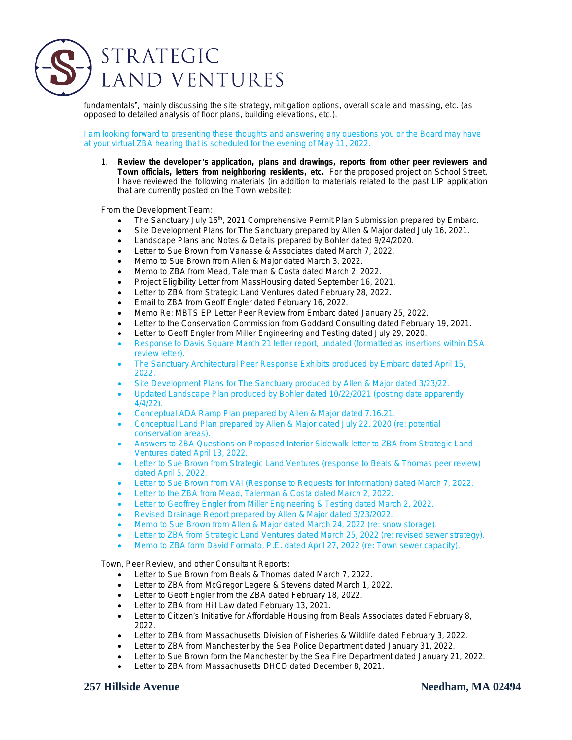## STRATEGIC **LAND VENTURES**

fundamentals", mainly discussing the site strategy, mitigation options, overall scale and massing, etc. (as opposed to detailed analysis of floor plans, building elevations, etc.).

I am looking forward to presenting these thoughts and answering any questions you or the Board may have at your virtual ZBA hearing that is scheduled for the evening of May 11, 2022.

1. *Review the developer* '*s application, plans and drawings, reports from other peer reviewers and Town officials, letters from neighboring residents, etc.* For the proposed project on School Street, I have reviewed the following materials (*in addition to materials related to the past LIP application that are currently posted on the Town website*):

From the Development Team:

- The Sanctuary July 16<sup>th</sup>, 2021 Comprehensive Permit Plan Submission prepared by Embarc.
- Site Development Plans for The Sanctuary prepared by Allen & Major dated July 16, 2021.
- Landscape Plans and Notes & Details prepared by Bohler dated 9/24/2020.
- **•** Letter to Sue Brown from Vanasse & Associates dated March 7, 2022.
- Memo to Sue Brown from Allen & Major dated March 3, 2022.
- Memo to ZBA from Mead, Talerman & Costa dated March 2, 2022.
- Project Eligibility Letter from MassHousing dated September 16, 2021.
- Letter to ZBA from Strategic Land Ventures dated February 28, 2022.
- **Email to ZBA from Geoff Engler dated February 16, 2022.**
- Memo Re: MBTS EP Letter Peer Review from Embarc dated January 25, 2022.
- Letter to the Conservation Commission from Goddard Consulting dated February 19, 2021.
- Letter to Geoff Engler from Miller Engineering and Testing dated July 29, 2020.
- Response to Davis Square March 21 letter report, undated (formatted as insertions within DSA review letter).
- The Sanctuary Architectural Peer Response Exhibits produced by Embarc dated April 15, 2022.
- Site Development Plans for The Sanctuary produced by Allen & Major dated 3/23/22.
- Updated Landscape Plan produced by Bohler dated 10/22/2021 (posting date apparently 4/4/22).
- Conceptual ADA Ramp Plan prepared by Allen & Major dated 7.16.21.
- Conceptual Land Plan prepared by Allen & Major dated July 22, 2020 (re: potential conservation areas).
- Answers to ZBA Questions on Proposed Interior Sidewalk letter to ZBA from Strategic Land Ventures dated April 13, 2022.
- Letter to Sue Brown from Strategic Land Ventures (response to Beals & Thomas peer review) dated April 5, 2022.
- Letter to Sue Brown from VAI (Response to Requests for Information) dated March 7, 2022.
- Letter to the ZBA from Mead, Talerman & Costa dated March 2, 2022.
- **•** Letter to Geoffrey Engler from Miller Engineering & Testing dated March 2, 2022.
- Revised Drainage Report prepared by Allen & Major dated 3/23/2022.
- Memo to Sue Brown from Allen & Major dated March 24, 2022 (re: snow storage).
- Letter to ZBA from Strategic Land Ventures dated March 25, 2022 (re: revised sewer strategy).
- Memo to ZBA form David Formato, P.E. dated April 27, 2022 (re: Town sewer capacity).

Town, Peer Review, and other Consultant Reports:

- Letter to Sue Brown from Beals & Thomas dated March 7, 2022.
- Letter to ZBA from McGregor Legere & Stevens dated March 1, 2022.
- Letter to Geoff Engler from the ZBA dated February 18, 2022.
- Letter to ZBA from Hill Law dated February 13, 2021.
- Letter to Citizen's Initiative for Affordable Housing from Beals Associates dated February 8, 2022.
- Letter to ZBA from Massachusetts Division of Fisheries & Wildlife dated February 3, 2022.
- Letter to ZBA from Manchester by the Sea Police Department dated January 31, 2022.
- Letter to Sue Brown form the Manchester by the Sea Fire Department dated January 21, 2022.
- **.** Letter to ZBA from Massachusetts DHCD dated December 8, 2021.

### **257 Hillside Avenue Needham, MA 02494**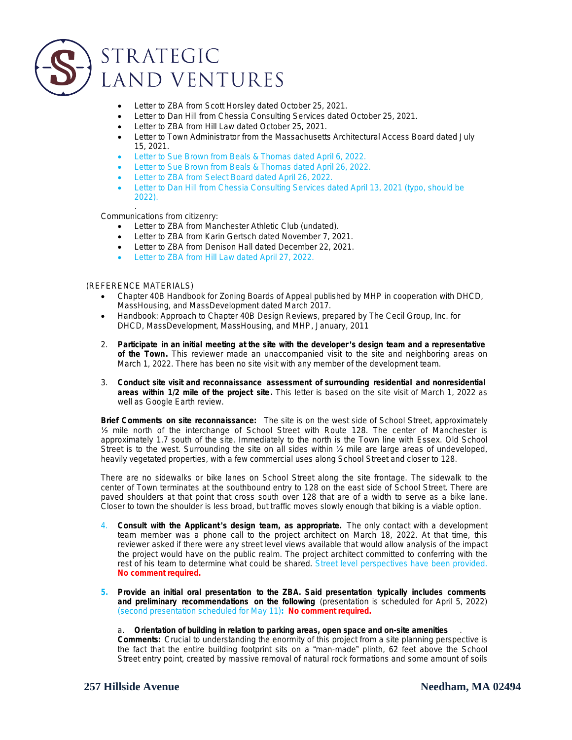

- Letter to ZBA from Scott Horsley dated October 25, 2021.
- Letter to Dan Hill from Chessia Consulting Services dated October 25, 2021.
- Letter to ZBA from Hill Law dated October 25, 2021.
- Letter to Town Administrator from the Massachusetts Architectural Access Board dated July 15, 2021.
- **•** Letter to Sue Brown from Beals & Thomas dated April 6, 2022.
- Letter to Sue Brown from Beals & Thomas dated April 26, 2022.
- Letter to ZBA from Select Board dated April 26, 2022.
- Letter to Dan Hill from Chessia Consulting Services dated April 13, 2021 (typo, should be 2022).

. Communications from citizenry:

- **•** Letter to ZBA from Manchester Athletic Club (undated).
- Letter to ZBA from Karin Gertsch dated November 7, 2021.
- Letter to ZBA from Denison Hall dated December 22, 2021.
- Letter to ZBA from Hill Law dated April 27, 2022.

#### (REFERENCE MATERIALS)

- Chapter 40B Handbook for Zoning Boards of Appeal published by MHP in cooperation with DHCD, MassHousing, and MassDevelopment dated March 2017.
- Handbook: Approach to Chapter 40B Design Reviews, prepared by The Cecil Group, Inc. for DHCD, MassDevelopment, MassHousing, and MHP, January, 2011
- 2. Participate in an initial meeting at the site with the developer's design team and a representative *of the Town. This reviewer made an unaccompanied visit to the site and neighboring areas on March 1, 2022. There has been no site visit with any member of the development team.*
- 3. *Conduct site visit and reconnaissance assessment of surrounding residential and nonresidential* areas within 1/2 mile of the project site. This letter is based on the site visit of March 1, 2022 as *well as Google Earth review.*

**Brief Comments on site reconnaissance:** The site is on the west side of School Street, approximately ½ mile north of the interchange of School Street with Route 128. The center of Manchester is approximately 1.7 south of the site. Immediately to the north is the Town line with Essex. Old School Street is to the west. Surrounding the site on all sides within ½ mile are large areas of undeveloped, heavily vegetated properties, with a few commercial uses along School Street and closer to 128.

There are no sidewalks or bike lanes on School Street along the site frontage. The sidewalk to the center of Town terminates at the southbound entry to 128 on the east side of School Street. There are paved shoulders at that point that cross south over 128 that are of a width to serve as a bike lane. Closer to town the shoulder is less broad, but traffic moves slowly enough that biking is a viable option.

- 4. *Consult with the Applicant* '*s design team, as appropriate.* The only contact with a development team member was a phone call to the project architect on March 18, 2022. At that time, this reviewer asked if there were any street level views available that would allow analysis of the impact the project would have on the public realm. The project architect committed to conferring with the rest of his team to determine what could be shared. Street level perspectives have been provided. *No comment required.*
- *5. Provide an initial oral presentation to the ZBA. Said presentation typically includes comments and preliminary recommendations on the following (*presentation is scheduled for April 5, 2022*) (second presentation scheduled for May 11): No comment required.*

#### a. *Orientation of building in relation to parking areas, open space and on-site amenities* .

**Comments:** Crucial to understanding the enormity of this project from a site planning perspective is the fact that the entire building footprint sits on a "man-made" plinth, 62 feet above the School Street entry point, created by massive removal of natural rock formations and some amount of soils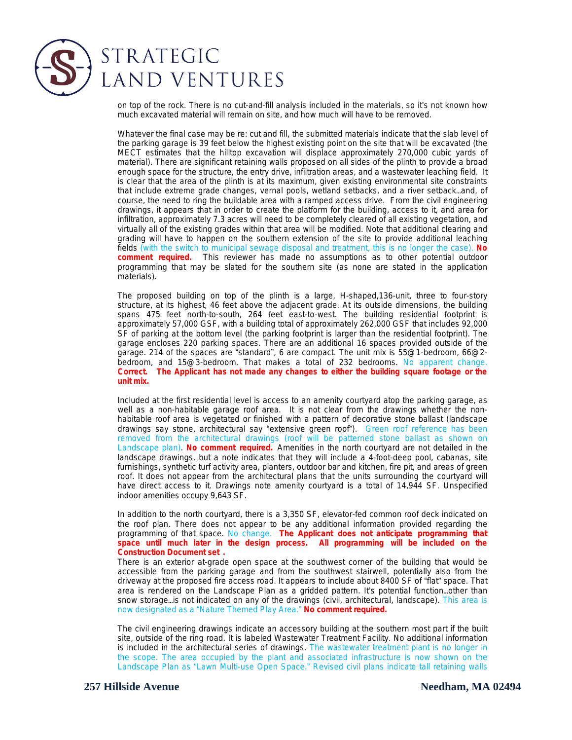## STRATEGIC LAND VENTURES

on top of the rock. There is no cut-and-fill analysis included in the materials, so it's not known how much excavated material will remain on site, and how much will have to be removed.

Whatever the final case may be re: cut and fill, the submitted materials indicate that the slab level of the parking garage is 39 feet below the highest existing point on the site that will be excavated (the MECT estimates that the hilltop excavation will displace approximately 270,000 cubic yards of material). There are significant retaining walls proposed on all sides of the plinth to provide a broad enough space for the structure, the entry drive, infiltration areas, and a wastewater leaching field. It is clear that the area of the plinth is at its maximum, given existing environmental site constraints that include extreme grade changes, vernal pools, wetland setbacks, and a river setback…and, of course, the need to ring the buildable area with a ramped access drive. From the civil engineering drawings, it appears that in order to create the platform for the building, access to it, and area for infiltration, approximately 7.3 acres will need to be completely cleared of all existing vegetation, and virtually all of the existing grades within that area will be modified. Note that additional clearing and grading will have to happen on the southern extension of the site to provide additional leaching fields (with the switch to municipal sewage disposal and treatment, this is no longer the case). *No comment required.* This reviewer has made no assumptions as to other potential outdoor programming that may be slated for the southern site (as none are stated in the application materials).

The proposed building on top of the plinth is a large, H-shaped,136-unit, three to four-story structure, at its highest, 46 feet above the adjacent grade. At its outside dimensions, the building spans 475 feet north-to-south, 264 feet east-to-west. The building residential footprint is approximately 57,000 GSF, with a building total of approximately 262,000 GSF that includes 92,000 SF of parking at the bottom level (the parking footprint is larger than the residential footprint). The garage encloses 220 parking spaces. There are an additional 16 spaces provided outside of the garage. 214 of the spaces are "standard", 6 are compact. The unit mix is 55@1-bedroom, 66@2 bedroom, and 15@3-bedroom. That makes a total of 232 bedrooms. No apparent change. *Correct. The Applicant has not made any changes to either the building square footage or the unit mix.*

Included at the first residential level is access to an amenity courtyard atop the parking garage, as well as a non-habitable garage roof area. It is not clear from the drawings whether the nonhabitable roof area is vegetated or finished with a pattern of decorative stone ballast (landscape drawings say stone, architectural say "extensive green roof"). Green roof reference has been removed from the architectural drawings (roof will be patterned stone ballast as shown on Landscape plan). *No comment required.* Amenities in the north courtyard are not detailed in the landscape drawings, but a note indicates that they will include a 4-foot-deep pool, cabanas, site furnishings, synthetic turf activity area, planters, outdoor bar and kitchen, fire pit, and areas of green roof. It does not appear from the architectural plans that the units surrounding the courtyard will have direct access to it. Drawings note amenity courtyard is a total of 14,944 SF. Unspecified indoor amenities occupy 9,643 SF.

In addition to the north courtyard, there is a 3,350 SF, elevator-fed common roof deck indicated on the roof plan. There does not appear to be any additional information provided regarding the programming of that space. No change. *The Applicant does not anticipate programming that space until much later in the design process. All programming will be included on the Construction Document set .*

There is an exterior at-grade open space at the southwest corner of the building that would be accessible from the parking garage and from the southwest stairwell, potentially also from the driveway at the proposed fire access road. It appears to include about 8400 SF of "flat" space. That area is rendered on the Landscape Plan as a gridded pattern. It's potential function…other than snow storage... is not indicated on any of the drawings (civil, architectural, landscape). This area is now designated as a "Nature Themed Play Area." *No comment required.*

The civil engineering drawings indicate an accessory building at the southern most part if the built site, outside of the ring road. It is labeled Wastewater Treatment Facility. No additional information is included in the architectural series of drawings. The wastewater treatment plant is no longer in the scope. The area occupied by the plant and associated infrastructure is now shown on the Landscape Plan as "Lawn Multi-use Open Space." Revised civil plans indicate tall retaining walls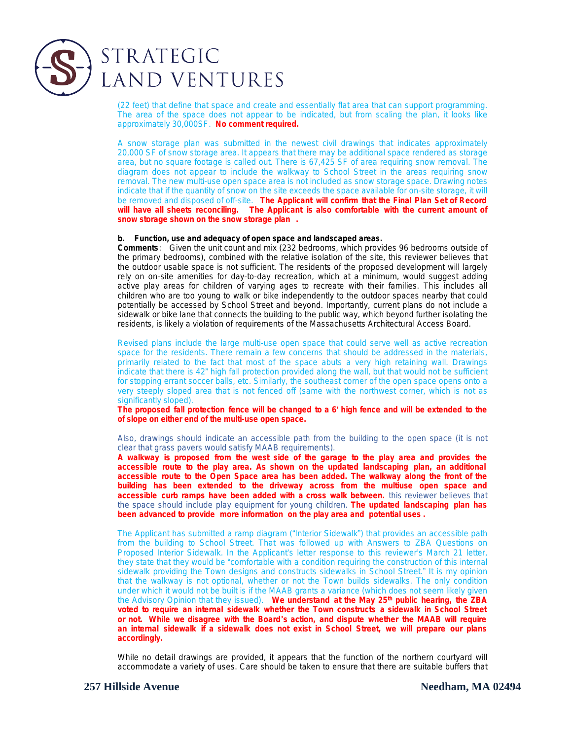

(22 feet) that define that space and create and essentially flat area that can support programming. The area of the space does not appear to be indicated, but from scaling the plan, it looks like approximately 30,000SF. *No comment required.*

A snow storage plan was submitted in the newest civil drawings that indicates approximately 20,000 SF of snow storage area. It appears that there may be additional space rendered as storage area, but no square footage is called out. There is 67,425 SF of area requiring snow removal. The diagram does not appear to include the walkway to School Street in the areas requiring snow removal. The new multi-use open space area is not included as snow storage space. Drawing notes indicate that if the quantity of snow on the site exceeds the space available for on-site storage, it will be removed and disposed of off-site. *The Applicant will confirm that the Final Plan Set of Record will have all sheets reconciling. The Applicant is also comfortable with the current amount of snow storage shown on the snow storage plan .*

#### *b. Function, use and adequacy of open space and landscaped areas.*

**Comments** : Given the unit count and mix (232 bedrooms, which provides 96 bedrooms outside of the primary bedrooms), combined with the relative isolation of the site, this reviewer believes that the outdoor usable space is not sufficient. The residents of the proposed development will largely rely on on-site amenities for day-to-day recreation, which at a minimum, would suggest adding active play areas for children of varying ages to recreate with their families. This includes all children who are too young to walk or bike independently to the outdoor spaces nearby that could potentially be accessed by School Street and beyond. Importantly, current plans do not include a sidewalk or bike lane that connects the building to the public way, which beyond further isolating the residents, is likely a violation of requirements of the Massachusetts Architectural Access Board.

Revised plans include the large multi-use open space that could serve well as active recreation space for the residents. There remain a few concerns that should be addressed in the materials, primarily related to the fact that most of the space abuts a very high retaining wall. Drawings indicate that there is 42" high fall protection provided along the wall, but that would not be sufficient for stopping errant soccer balls, etc. Similarly, the southeast corner of the open space opens onto a very steeply sloped area that is not fenced off (same with the northwest corner, which is not as significantly sloped).

The proposed fall protection fence will be changed to a 6' high fence and will be extended to the **of slope on either end of the multi-use open space.**

Also, drawings should indicate an accessible path from the building to the open space (it is not clear that grass pavers would satisfy MAAB requirements).

**A walkway is proposed from the west side of the garage to the play area and provides the accessible route to the play area. As shown on the updated landscaping plan, an additional accessible route to the Open Space area has been added. The walkway along the front of the building has been extended to the driveway across from the multiuse open space and accessible curb ramps have been added with a cross walk between.** this reviewer believes that the space should include play equipment for young children. **The updated landscaping plan has been advanced to provide more information on the play area and potential uses .**

The Applicant has submitted a ramp diagram ("Interior Sidewalk") that provides an accessible path from the building to School Street. That was followed up with Answers to ZBA Questions on Proposed Interior Sidewalk. In the Applicant's letter response to this reviewer's March 21 letter, they state that they would be "comfortable with a condition requiring the construction of this internal sidewalk providing the Town designs and constructs sidewalks in School Street." It is my opinion that the walkway is not optional, whether or not the Town builds sidewalks. The only condition under which it would not be built is if the MAAB grants a variance (which does not seem likely given the Advisory Opinion that they issued). **We understand at the May 25th public hearing, the ZBA voted to require an internal sidewalk whether the Town constructs a sidewalk in School Street or not. While we disagree with the Board**'**s action, and dispute whether the MAAB will require an internal sidewalk if a sidewalk does not exist in School Street, we will prepare our plans accordingly.**

While no detail drawings are provided, it appears that the function of the northern courtyard will accommodate a variety of uses. Care should be taken to ensure that there are suitable buffers that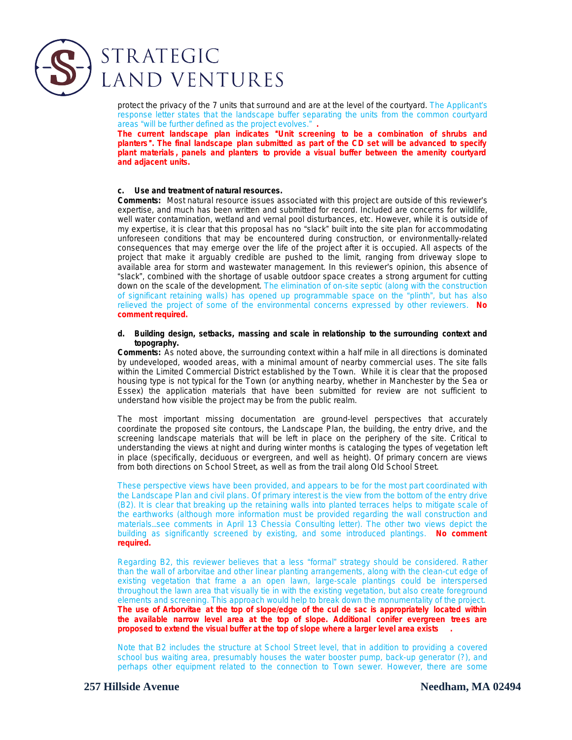

protect the privacy of the 7 units that surround and are at the level of the courtyard. The Applicant's response letter states that the landscape buffer separating the units from the common courtyard areas "will be further defined as the project evolves." *.*

**The current landscape plan indicates** "**Unit screening to be a combination of shrubs and planters** "**. The final landscape plan submitted as part of the CD set will be advanced to specify plant materials , panels and planters to provide a visual buffer between the amenity courtyard and adjacent units.**

#### *c. Use and treatment of natural resources.*

**Comments:** Most natural resource issues associated with this project are outside of this reviewer's expertise, and much has been written and submitted for record. Included are concerns for wildlife, well water contamination, wetland and vernal pool disturbances, etc. However, while it is outside of my expertise, it is clear that this proposal has no "slack" built into the site plan for accommodating unforeseen conditions that may be encountered during construction, or environmentally-related consequences that may emerge over the life of the project after it is occupied. All aspects of the project that make it arguably credible are pushed to the limit, ranging from driveway slope to available area for storm and wastewater management. In this reviewer's opinion, this absence of "slack", combined with the shortage of usable outdoor space creates a strong argument for cutting down on the scale of the development. The elimination of on-site septic (along with the construction of significant retaining walls) has opened up programmable space on the "plinth", but has also relieved the project of some of the environmental concerns expressed by other reviewers. *No comment required.*

#### *d. Building design, setbacks, massing and scale in relationship to the surrounding context and topography.*

**Comments:** As noted above, the surrounding context within a half mile in all directions is dominated by undeveloped, wooded areas, with a minimal amount of nearby commercial uses. The site falls within the Limited Commercial District established by the Town. While it is clear that the proposed housing type is not typical for the Town (or anything nearby, whether in Manchester by the Sea or Essex) the application materials that have been submitted for review are not sufficient to understand how visible the project may be from the public realm.

The most important missing documentation are ground-level perspectives that accurately coordinate the proposed site contours, the Landscape Plan, the building, the entry drive, and the screening landscape materials that will be left in place on the periphery of the site. Critical to understanding the views at night and during winter months is cataloging the types of vegetation left in place (specifically, deciduous or evergreen, and well as height). Of primary concern are views from both directions on School Street, as well as from the trail along Old School Street.

These perspective views have been provided, and appears to be for the most part coordinated with the Landscape Plan and civil plans. Of primary interest is the view from the bottom of the entry drive (B2). It is clear that breaking up the retaining walls into planted terraces helps to mitigate scale of the earthworks (although more information must be provided regarding the wall construction and materials…see comments in April 13 Chessia Consulting letter). The other two views depict the building as significantly screened by existing, and some introduced plantings. *No comment required.*

Regarding B2, this reviewer believes that a less "formal" strategy should be considered. Rather than the wall of arborvitae and other linear planting arrangements, along with the clean-cut edge of existing vegetation that frame a an open lawn, large-scale plantings could be interspersed throughout the lawn area that visually tie in with the existing vegetation, but also create foreground elements and screening. This approach would help to break down the monumentality of the project. **The use of Arborvitae at the top of slope/edge of the cul de sac is appropriately located within the available narrow level area at the top of slope. Additional conifer evergreen trees are proposed to extend the visual buffer at the top of slope where a larger level area exists .**

Note that B2 includes the structure at School Street level, that in addition to providing a covered school bus waiting area, presumably houses the water booster pump, back-up generator (?), and perhaps other equipment related to the connection to Town sewer. However, there are some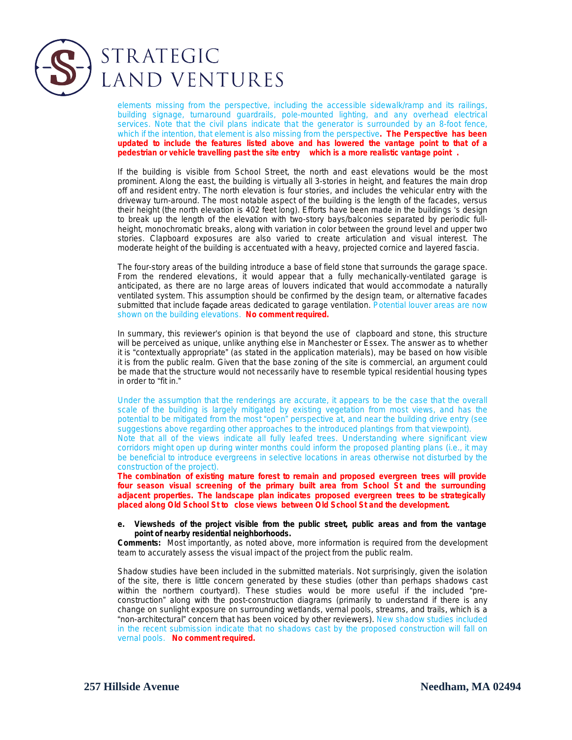

elements missing from the perspective, including the accessible sidewalk/ramp and its railings, building signage, turnaround guardrails, pole-mounted lighting, and any overhead electrical services. Note that the civil plans indicate that the generator is surrounded by an 8-foot fence, which if the intention, that element is also missing from the perspective**. The Perspective has been updated to include the features listed above and has lowered the vantage point to that of a pedestrian or vehicle travelling past the site entry which is a more realistic vantage point .**

If the building is visible from School Street, the north and east elevations would be the most prominent. Along the east, the building is virtually all 3-stories in height, and features the main drop off and resident entry. The north elevation is four stories, and includes the vehicular entry with the driveway turn-around. The most notable aspect of the building is the length of the facades, versus their height (the north elevation is 402 feet long). Efforts have been made in the buildings 's design to break up the length of the elevation with two-story bays/balconies separated by periodic fullheight, monochromatic breaks, along with variation in color between the ground level and upper two stories. Clapboard exposures are also varied to create articulation and visual interest. The moderate height of the building is accentuated with a heavy, projected cornice and layered fascia.

The four-story areas of the building introduce a base of field stone that surrounds the garage space. From the rendered elevations, it would appear that a fully mechanically-ventilated garage is anticipated, as there are no large areas of louvers indicated that would accommodate a naturally ventilated system. This assumption should be confirmed by the design team, or alternative facades submitted that include façade areas dedicated to garage ventilation. Potential louver areas are now shown on the building elevations. *No comment required.*

In summary, this reviewer's opinion is that beyond the use of clapboard and stone, this structure will be perceived as unique, unlike anything else in Manchester or Essex. The answer as to whether it is "contextually appropriate" (as stated in the application materials), may be based on how visible it is from the public realm. Given that the base zoning of the site is commercial, an argument could be made that the structure would not necessarily have to resemble typical residential housing types in order to "fit in."

Under the assumption that the renderings are accurate, it appears to be the case that the overall scale of the building is largely mitigated by existing vegetation from most views, and has the potential to be mitigated from the most "open" perspective at, and near the building drive entry (see suggestions above regarding other approaches to the introduced plantings from that viewpoint). Note that all of the views indicate all fully leafed trees. Understanding where significant view corridors might open up during winter months could inform the proposed planting plans (i.e., it may be beneficial to introduce evergreens in selective locations in areas otherwise not disturbed by the construction of the project).

**The combination of existing mature forest to remain and proposed evergreen trees will provide four season visual screening of the primary built area from School St and the surrounding adjacent properties. The landscape plan indicates proposed evergreen trees to be strategically placed along Old School St to close views between Old School St and the development.**

#### *e. Viewsheds of the project visible from the public street, public areas and from the vantage point of nearby residential neighborhoods.*

**Comments:** Most importantly, as noted above, more information is required from the development team to accurately assess the visual impact of the project from the public realm.

Shadow studies have been included in the submitted materials. Not surprisingly, given the isolation of the site, there is little concern generated by these studies (other than perhaps shadows cast within the northern courtyard). These studies would be more useful if the included "preconstruction" along with the post-construction diagrams (primarily to understand if there is any change on sunlight exposure on surrounding wetlands, vernal pools, streams, and trails, which is a "non-architectural" concern that has been voiced by other reviewers). New shadow studies included in the recent submission indicate that no shadows cast by the proposed construction will fall on vernal pools. *No comment required.*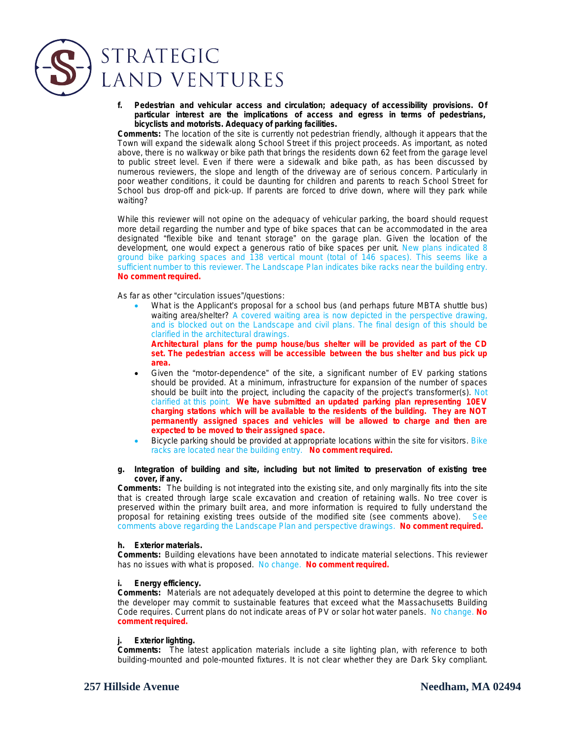

## STRATEGIC LAND VENTURES

*f. Pedestrian and vehicular access and circulation; adequacy of accessibility provisions. Of particular interest are the implications of access and egress in terms of pedestrians, bicyclists and motorists. Adequacy of parking facilities.*

**Comments:** The location of the site is currently not pedestrian friendly, although it appears that the Town will expand the sidewalk along School Street if this project proceeds. As important, as noted above, there is no walkway or bike path that brings the residents down 62 feet from the garage level to public street level. Even if there were a sidewalk and bike path, as has been discussed by numerous reviewers, the slope and length of the driveway are of serious concern. Particularly in poor weather conditions, it could be daunting for children and parents to reach School Street for School bus drop-off and pick-up. If parents are forced to drive down, where will they park while waiting?

While this reviewer will not opine on the adequacy of vehicular parking, the board should request more detail regarding the number and type of bike spaces that can be accommodated in the area designated "flexible bike and tenant storage" on the garage plan. Given the location of the development, one would expect a generous ratio of bike spaces per unit. New plans indicated 8 ground bike parking spaces and 138 vertical mount (total of 146 spaces). This seems like a sufficient number to this reviewer. The Landscape Plan indicates bike racks near the building entry. *No comment required.*

As far as other "circulation issues"/questions:

 What is the Applicant's proposal for a school bus (and perhaps future MBTA shuttle bus) waiting area/shelter? A covered waiting area is now depicted in the perspective drawing, and is blocked out on the Landscape and civil plans. The final design of this should be clarified in the architectural drawings.

**Architectural plans for the pump house/bus shelter will be provided as part of the CD set. The pedestrian access will be accessible between the bus shelter and bus pick up area.** 

- Given the "motor-dependence" of the site, a significant number of EV parking stations should be provided. At a minimum, infrastructure for expansion of the number of spaces should be built into the project, including the capacity of the project's transformer(s). Not clarified at this point. **We have submitted an updated parking plan representing 10EV charging stations which will be available to the residents of the building. They are NOT permanently assigned spaces and vehicles will be allowed to charge and then are expected to be moved to their assigned space.**
- Bicycle parking should be provided at appropriate locations within the site for visitors. Bike racks are located near the building entry. *No comment required.*

#### *g. Integration of building and site, including but not limited to preservation of existing tree cover, if any.*

**Comments:** The building is not integrated into the existing site, and only marginally fits into the site that is created through large scale excavation and creation of retaining walls. No tree cover is preserved within the primary built area, and more information is required to fully understand the proposal for retaining existing trees outside of the modified site (see comments above). See comments above regarding the Landscape Plan and perspective drawings. *No comment required.*

#### *h. Exterior materials.*

**Comments:** Building elevations have been annotated to indicate material selections. This reviewer has no issues with what is proposed. No change. *No comment required.*

#### *i. Energy efficiency.*

**Comments:** Materials are not adequately developed at this point to determine the degree to which the developer may commit to sustainable features that exceed what the Massachusetts Building Code requires. Current plans do not indicate areas of PV or solar hot water panels. No change. *No comment required.*

#### *j. Exterior lighting.*

**Comments:** The latest application materials include a site lighting plan, with reference to both building-mounted and pole-mounted fixtures. It is not clear whether they are Dark Sky compliant.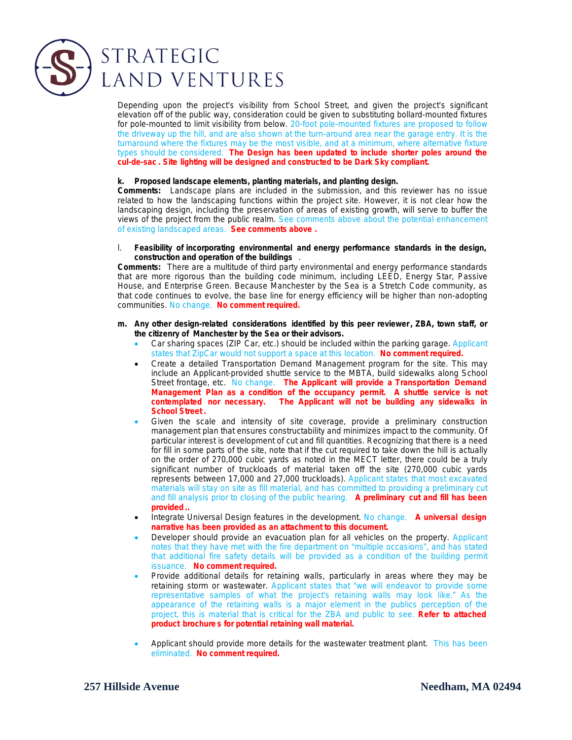

Depending upon the project's visibility from School Street, and given the project's significant elevation off of the public way, consideration could be given to substituting bollard-mounted fixtures for pole-mounted to limit visibility from below. 20-foot pole-mounted fixtures are proposed to follow the driveway up the hill, and are also shown at the turn-around area near the garage entry. It is the turnaround where the fixtures may be the most visible, and at a minimum, where alternative fixture types should be considered. *The Design has been updated to include shorter poles around the cul-de-sac . Site lighting will be designed and constructed to be Dark Sky compliant.*

#### *k. Proposed landscape elements, planting materials, and planting design.*

**Comments:** Landscape plans are included in the submission, and this reviewer has no issue related to how the landscaping functions within the project site. However, it is not clear how the landscaping design, including the preservation of areas of existing growth, will serve to buffer the views of the project from the public realm. See comments above about the potential enhancement of existing landscaped areas. *See comments above .*

l. *Feasibility of incorporating environmental and energy performance standards in the design, construction and operation of the buildings* .

**Comments:** There are a multitude of third party environmental and energy performance standards that are more rigorous than the building code minimum, including LEED, Energy Star, Passive House, and Enterprise Green. Because Manchester by the Sea is a Stretch Code community, as that code continues to evolve, the base line for energy efficiency will be higher than non-adopting communities. No change. *No comment required.*

- *m. Any other design-related considerations identified by this peer reviewer, ZBA, town staff, or the citizenry of Manchester by the Sea or their advisors.*
	- Car sharing spaces (ZIP Car, etc.) should be included within the parking garage. Applicant states that ZipCar would not support a space at this location. *No comment required.*
	- Create a detailed Transportation Demand Management program for the site. This may include an Applicant-provided shuttle service to the MBTA, build sidewalks along School Street frontage, etc. No change. *The Applicant will provide a Transportation Demand Management Plan as a condition of the occupancy permit. A shuttle service is not contemplated nor necessary. The Applicant will not be building any sidewalks in School Street .*
	- Given the scale and intensity of site coverage, provide a preliminary construction management plan that ensures constructability and minimizes impact to the community. Of particular interest is development of cut and fill quantities. Recognizing that there is a need for fill in some parts of the site, note that if the cut required to take down the hill is actually on the order of 270,000 cubic yards as noted in the MECT letter, there could be a truly significant number of truckloads of material taken off the site (270,000 cubic yards represents between 17,000 and 27,000 truckloads). Applicant states that most excavated materials will stay on site as fill material, and has committed to providing a preliminary cut and fill analysis prior to closing of the public hearing. *A preliminary cut and fill has been provided ..*
	- Integrate Universal Design features in the development. No change. *A universal design narrative has been provided as an attachment to this document.*
	- Developer should provide an evacuation plan for all vehicles on the property. Applicant notes that they have met with the fire department on "multiple occasions", and has stated that additional fire safety details will be provided as a condition of the building permit issuance. *No comment required.*
	- Provide additional details for retaining walls, particularly in areas where they may be retaining storm or wastewater. Applicant states that "we will endeavor to provide some representative samples of what the project's retaining walls may look like." As the appearance of the retaining walls is a major element in the publics perception of the project, this is material that is critical for the ZBA and public to see. **Refer to attached product brochure s for potential retaining wall material.**
	- Applicant should provide more details for the wastewater treatment plant. This has been eliminated. *No comment required.*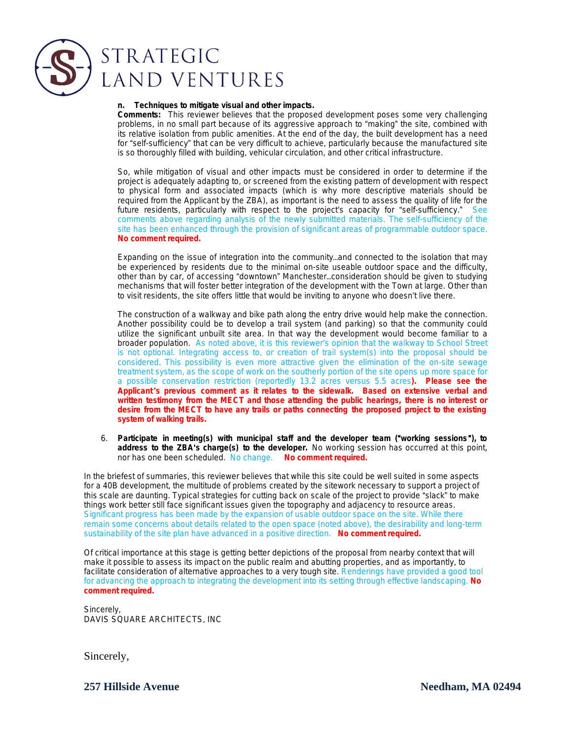

# LAND VENTURES

#### *n. Techniques to mitigate visual and other impacts.*

**Comments:** This reviewer believes that the proposed development poses some very challenging problems, in no small part because of its aggressive approach to "making" the site, combined with its relative isolation from public amenities. At the end of the day, the built development has a need for "self-sufficiency" that can be very difficult to achieve, particularly because the manufactured site is so thoroughly filled with building, vehicular circulation, and other critical infrastructure.

So, while mitigation of visual and other impacts must be considered in order to determine if the project is adequately adapting to, or screened from the existing pattern of development with respect to physical form and associated impacts (which is why more descriptive materials should be required from the Applicant by the ZBA), as important is the need to assess the quality of life for the future residents, particularly with respect to the project's capacity for "self-sufficiency." See comments above regarding analysis of the newly submitted materials. The self-sufficiency of the site has been enhanced through the provision of significant areas of programmable outdoor space. *No comment required.*

Expanding on the issue of integration into the community…and connected to the isolation that may be experienced by residents due to the minimal on-site useable outdoor space and the difficulty, other than by car, of accessing "downtown" Manchester…consideration should be given to studying mechanisms that will foster better integration of the development with the Town at large. Other than to visit residents, the site offers little that would be inviting to anyone who doesn't live there.

The construction of a walkway and bike path along the entry drive would help make the connection. Another possibility could be to develop a trail system (and parking) so that the community could utilize the significant unbuilt site area. In that way the development would become familiar to a broader population. As noted above, it is this reviewer's opinion that the walkway to School Street is not optional. Integrating access to, or creation of trail system(s) into the proposal should be considered. This possibility is even more attractive given the elimination of the on-site sewage treatment system, as the scope of work on the southerly portion of the site opens up more space for a possible conservation restriction (reportedly 13.2 acres versus 5.5 acres**). Please see the Applicant** '**s previous comment as it relates to the sidewalk. Based on extensive verbal and written testimony from the MECT and those attending the public hearings, there is no interest or desire from the MECT to have any trails or paths connecting the proposed project to the existing system of walking trails.**

6. *Participate in meeting(s) with municipal staff and the developer team (*"*working sessions* "*), to address to the ZBA*'*s charge(s) to the developer.* No working session has occurred at this point, nor has one been scheduled. No change. *No comment required.*

In the briefest of summaries, this reviewer believes that while this site could be well suited in some aspects for a 40B development, the multitude of problems created by the sitework necessary to support a project of this scale are daunting. Typical strategies for cutting back on scale of the project to provide "slack" to make things work better still face significant issues given the topography and adjacency to resource areas. Significant progress has been made by the expansion of usable outdoor space on the site. While there remain some concerns about details related to the open space (noted above), the desirability and long-term sustainability of the site plan have advanced in a positive direction. *No comment required.*

Of critical importance at this stage is getting better depictions of the proposal from nearby context that will make it possible to assess its impact on the public realm and abutting properties, and as importantly, to facilitate consideration of alternative approaches to a very tough site. Renderings have provided a good tool for advancing the approach to integrating the development into its setting through effective landscaping. *No comment required.*

Sincerely, DAVIS SQUARE ARCHITECTS, INC

Sincerely,